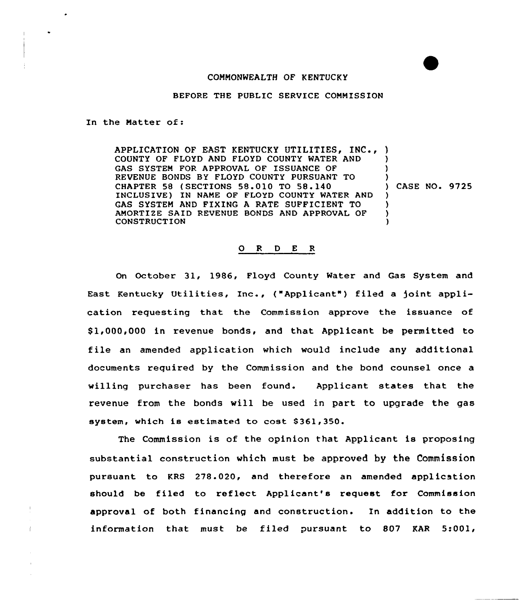## COMMONWEALTH OF KENTUCKY

## BEFORE THE PUBLIC SERVICE CONMISSION

In the Natter of:

APPLICATION OF EAST KENTUCKY UTILITIES, INC., ) COUNTY OF FLOYD AND FLOYD COUNTY WATER AND GAS SYSTEM FOR APPROVAL OF ISSUANCE OF REVENUE BONDS BY FLOYD COUNTY PURSUANT TO CHAPTER 58 {SECTIONS 58,010 TO 58.140 INCLUSIVE) IN NAME OF FLOYD COUNTY WATER AND GAS SYSTEM AND FIXING A RATE SUFFICIENT TO ANORTIZE SAID REVENUE BONDS AND APPROVAL OF CONSTRUCTION ) ) )<br>) CASE NO<mark>. 9725</mark> ) ) ) )

## 0 <sup>R</sup> <sup>D</sup> <sup>E</sup> <sup>R</sup>

On October 31, 1986, Floyd County Water and Gas System and East Kentucky Utilities, Inc., ("Applicant") filed a joint application requesting that the Commission approve the issuance of \$ 1,000,000 in revenue bonds, and that Applicant be permitted to file an amended application which would include any additional documents required by the Commission and the bond counsel once a willing purchaser has been found. Applicant states that the revenue from the bonds will be used in part to upgrade the gas system, which is estimated to cost \$361,350.

The Commission is of the opinion that Applicant is proposing substantial construction which must be approved by the Commission pursuant to KRS 278.020, and therefore an amended application should be filed to reflect Applicant's request for Commission approval of both financing and construction. In addition to the information that must be filed pursuant to 807 KAR 5:001,